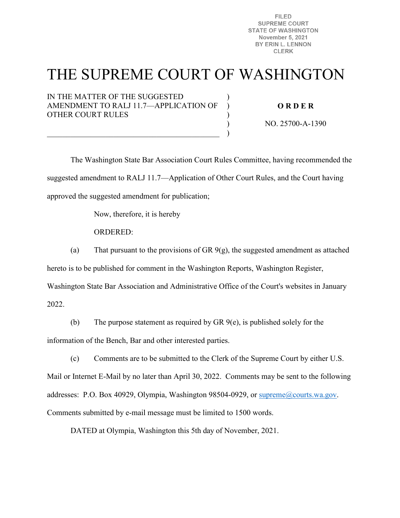**FILED SUPREME COURT STATE OF WASHINGTON** November 5, 2021 BY ERIN L. LENNON **CLERK** 

# THE SUPREME COURT OF WASHINGTON

)  $\lambda$ ) ) )

IN THE MATTER OF THE SUGGESTED AMENDMENT TO RALJ 11.7—APPLICATION OF OTHER COURT RULES

 $\overline{\mathcal{L}}$  , and the contribution of the contribution of  $\overline{\mathcal{L}}$ 

**O R D E R** 

NO. 25700-A-1390

The Washington State Bar Association Court Rules Committee, having recommended the suggested amendment to RALJ 11.7—Application of Other Court Rules, and the Court having approved the suggested amendment for publication;

Now, therefore, it is hereby

ORDERED:

(a) That pursuant to the provisions of GR  $9(g)$ , the suggested amendment as attached

hereto is to be published for comment in the Washington Reports, Washington Register,

Washington State Bar Association and Administrative Office of the Court's websites in January

2022.

(b) The purpose statement as required by GR 9(e), is published solely for the information of the Bench, Bar and other interested parties.

(c) Comments are to be submitted to the Clerk of the Supreme Court by either U.S. Mail or Internet E-Mail by no later than April 30, 2022. Comments may be sent to the following addresses: P.O. Box 40929, Olympia, Washington 98504-0929, or [supreme@courts.wa.gov.](mailto:supreme@courts.wa.gov) Comments submitted by e-mail message must be limited to 1500 words.

DATED at Olympia, Washington this 5th day of November, 2021.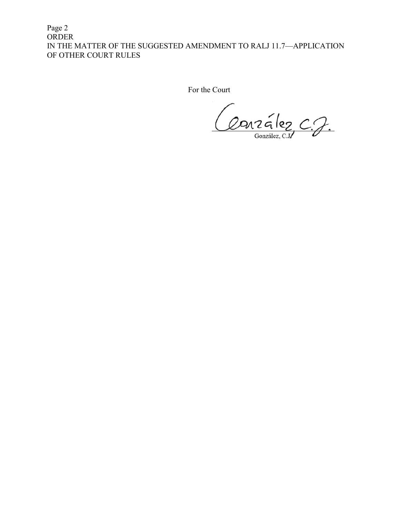Page 2 ORDER IN THE MATTER OF THE SUGGESTED AMENDMENT TO RALJ 11.7—APPLICATION OF OTHER COURT RULES

For the Court

Conzalez C.J. González, C.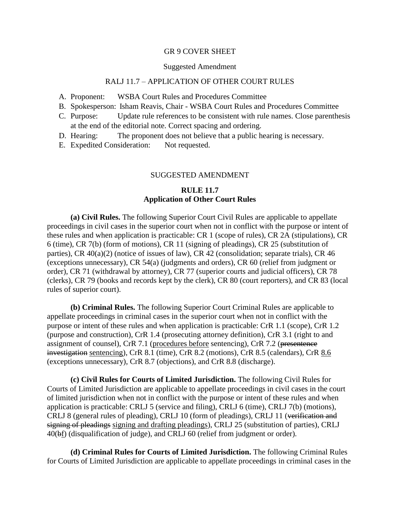#### GR 9 COVER SHEET

#### Suggested Amendment

#### RALJ 11.7 – APPLICATION OF OTHER COURT RULES

- A. Proponent: WSBA Court Rules and Procedures Committee
- B. Spokesperson: Isham Reavis, Chair WSBA Court Rules and Procedures Committee
- C. Purpose: Update rule references to be consistent with rule names. Close parenthesis at the end of the editorial note. Correct spacing and ordering.
- D. Hearing: The proponent does not believe that a public hearing is necessary.
- E. Expedited Consideration: Not requested.

### SUGGESTED AMENDMENT

## **RULE 11.7 Application of Other Court Rules**

**(a) Civil Rules.** The following Superior Court Civil Rules are applicable to appellate proceedings in civil cases in the superior court when not in conflict with the purpose or intent of these rules and when application is practicable: CR 1 (scope of rules), CR 2A (stipulations), CR 6 (time), CR 7(b) (form of motions), CR 11 (signing of pleadings), CR 25 (substitution of parties), CR 40(a)(2) (notice of issues of law), CR 42 (consolidation; separate trials), CR 46 (exceptions unnecessary), CR 54(a) (judgments and orders), CR 60 (relief from judgment or order), CR 71 (withdrawal by attorney), CR 77 (superior courts and judicial officers), CR 78 (clerks), CR 79 (books and records kept by the clerk), CR 80 (court reporters), and CR 83 (local rules of superior court).

**(b) Criminal Rules.** The following Superior Court Criminal Rules are applicable to appellate proceedings in criminal cases in the superior court when not in conflict with the purpose or intent of these rules and when application is practicable: CrR 1.1 (scope), CrR 1.2 (purpose and construction), CrR 1.4 (prosecuting attorney definition), CrR 3.1 (right to and assignment of counsel), CrR 7.1 (procedures before sentencing), CrR 7.2 (presentence investigation sentencing), CrR 8.1 (time), CrR 8.2 (motions), CrR 8.5 (calendars), CrR 8.6 (exceptions unnecessary), CrR 8.7 (objections), and CrR 8.8 (discharge).

**(c) Civil Rules for Courts of Limited Jurisdiction.** The following Civil Rules for Courts of Limited Jurisdiction are applicable to appellate proceedings in civil cases in the court of limited jurisdiction when not in conflict with the purpose or intent of these rules and when application is practicable: CRLJ 5 (service and filing), CRLJ 6 (time), CRLJ 7(b) (motions), CRLJ 8 (general rules of pleading), CRLJ 10 (form of pleadings), CRLJ 11 (verification and signing of pleadings signing and drafting pleadings), CRLJ 25 (substitution of parties), CRLJ 40(bf) (disqualification of judge), and CRLJ 60 (relief from judgment or order).

**(d) Criminal Rules for Courts of Limited Jurisdiction.** The following Criminal Rules for Courts of Limited Jurisdiction are applicable to appellate proceedings in criminal cases in the